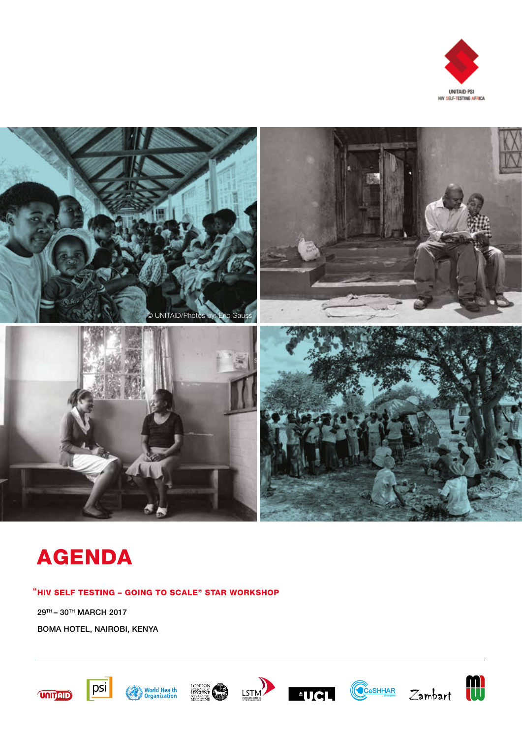



# AGENDA

"HIV SELF TESTING - GOING TO SCALE" STAR WORKSHOP

29TH – 30TH MARCH 2017 BOMA HOTEL, NAIROBI, KENYA















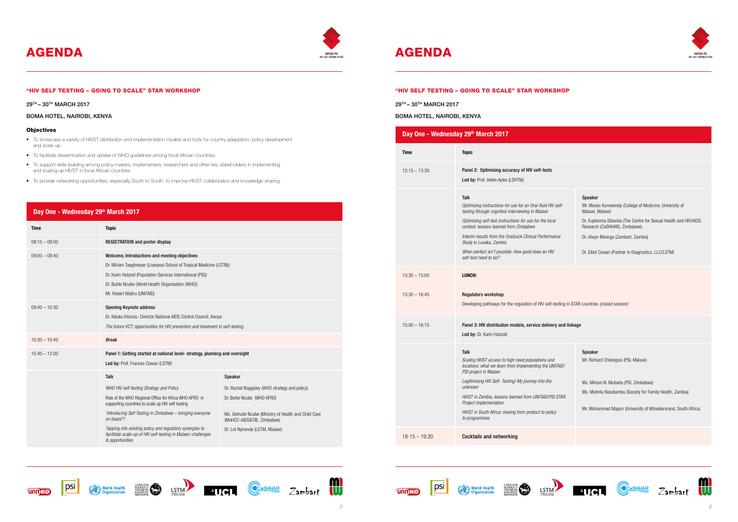"HIV SELF TESTING – GOING TO SCALE" STAR WORKSHOP

29TH – 30TH MARCH 2017

#### BOMA HOTEL, NAIROBI, KENYA

#### **Objectives**

- To showcase a variety of HIVST distribution and implementation models and tools for country adaptation, policy development and scale up.
- To facilitate dissemination and uptake of WHO guidelines among focal African countries.
- To support skills building among policy-makers, implementers, researchers and other key stakeholders in implementing and scaling up HIVST in focal African countries.
- To provide networking opportunities, especially South to South, to improve HIVST collaboration and knowledge sharing.

# **Day One - Wednesday 29th March 2017**

| <b>Time</b>     | <b>Topic</b>                                                                                                                                                                                                                                                                                                                                                                       |                                                                                                                                                                                                       |  |
|-----------------|------------------------------------------------------------------------------------------------------------------------------------------------------------------------------------------------------------------------------------------------------------------------------------------------------------------------------------------------------------------------------------|-------------------------------------------------------------------------------------------------------------------------------------------------------------------------------------------------------|--|
| $08:15 - 09:00$ | <b>REGISTRATION and poster display</b>                                                                                                                                                                                                                                                                                                                                             |                                                                                                                                                                                                       |  |
| $09:00 - 09:40$ | Welcome, Introductions and meeting objectives<br>Dr. Karin Hatzold (Population Services International (PSI))<br>Dr. Buhle Ncube (World Health Organisation (WHO))<br>Mr. Robert Matiru (UNITAID)                                                                                                                                                                                   | Dr. Miriam Taegtmeyer (Liverpool School of Tropical Medicine (LSTM))                                                                                                                                  |  |
| $09:45 - 10:30$ | <b>Opening Keynote address</b><br>Dr. Nduku Kilonzo- Director National AIDS Control Council, Kenya<br>The future VCT: opportunities for HIV prevention and treatment in self-testing                                                                                                                                                                                               |                                                                                                                                                                                                       |  |
| $10:30 - 10:45$ | <b>Break</b>                                                                                                                                                                                                                                                                                                                                                                       |                                                                                                                                                                                                       |  |
| $10.45 - 12:00$ | Panel 1: Getting started at national level-strategy, planning and oversight<br>Led by: Prof. Frances Cowan (LSTM)                                                                                                                                                                                                                                                                  |                                                                                                                                                                                                       |  |
|                 | <b>Talk</b>                                                                                                                                                                                                                                                                                                                                                                        | Speaker                                                                                                                                                                                               |  |
|                 | WHO HIV self testing Strategy and Policy<br>Role of the WHO Regional Office for Africa WHO AFRO in<br>supporting countries to scale up HIV self testing<br>'Introducing Self Testing in Zimbabwe - bringing everyone<br>on board'?<br>Tapping into existing policy and regulatory synergies to<br>facilitate scale-up of HIV self-testing in Malawi: challenges<br>& opportunities | Dr. Rachel Baggaley (WHO strategy and policy)<br>Dr. Buhle Ncube (WHO AFRO)<br>Ms. Getrude Ncube (Ministry of Health and Child Care<br>(MoHCC-AIDS&TB) , Zimbabwe)<br>Dr. Lot Nyirenda (LSTM, Malawi) |  |











# AGENDA AGENDA AGENDA



### "HIV SELF TESTING – GOING TO SCALE" STAR WORKSHOP

29TH – 30TH MARCH 2017

BOMA HOTEL, NAIROBI, KENYA

| <b>Time</b>     | <b>Topic</b>                                                                                                                                                                                                                                                                                                                                                                                    |                                                                                                                                                                                                                                                                                               |
|-----------------|-------------------------------------------------------------------------------------------------------------------------------------------------------------------------------------------------------------------------------------------------------------------------------------------------------------------------------------------------------------------------------------------------|-----------------------------------------------------------------------------------------------------------------------------------------------------------------------------------------------------------------------------------------------------------------------------------------------|
| $12:15 - 13:30$ | Panel 2: Optimising accuracy of HIV self-tests<br>Led by: Prof. Helen Ayles (LSHTM)                                                                                                                                                                                                                                                                                                             |                                                                                                                                                                                                                                                                                               |
|                 | Talk<br>Optimising instructions for use for an Oral-fluid HIV self-<br>testing through cognitive interviewing in Malawi<br>Optimising self-test instructions for use for the local<br>context: lessons learned from Zimbabwe<br>Interim results from the OraQuick Clinical Performance<br>Study in Lusaka, Zambia<br>When perfect isn't possible: How good does an HIV<br>self-test need to be? | <b>Speaker</b><br>Mr. Moses Kumwenda (College of Medicine, University of<br>Malawi, Malawi)<br>Dr. Euphemia Sibanda (The Centre for Sexual Health and HIV/AIDS<br>Research (CeSHHAR), Zimbabwe).<br>Dr. Alwyn Mwinga (Zambart, Zambia)<br>Dr. Elliot Cowan (Partner in Diagnostics, LLC/LSTM) |
| $13:30 - 15:00$ | LUNCH:                                                                                                                                                                                                                                                                                                                                                                                          |                                                                                                                                                                                                                                                                                               |
| $13:30 - 16:45$ | <b>Regulators workshop:</b><br>Developing pathways for the regulation of HIV self-testing in STAR countries (closed session)                                                                                                                                                                                                                                                                    |                                                                                                                                                                                                                                                                                               |
| $15:00 - 16:15$ | Panel 3: HIV distribution models, service delivery and linkage<br>Led by: Dr. Karin Hatzold                                                                                                                                                                                                                                                                                                     |                                                                                                                                                                                                                                                                                               |
|                 | Talk<br>Scaling HIVST access to high need populations and<br>locations: what we learn from Implementing the UNITAID/<br>PSI project in Malawi<br>Legitimising HIV Self- Testing! My journey into the<br>unknown<br>HIVST in Zambia, lessons learned from UNITAID/PSI STAR<br>Project implementation<br>HIVST in South Africa: moving from product to policy<br>to programmes                    | <b>Speaker</b><br>Mr. Richard Chilongosi (PSI, Malawi)<br>Ms. Miriam.N. Mutseta (PSI, Zimbabwe)<br>Ms. Mutinta Nalubamba (Society for Family Health, Zambia)<br>Mr. Mohammad Majam (University of Witwatersrand, South Africa)                                                                |

















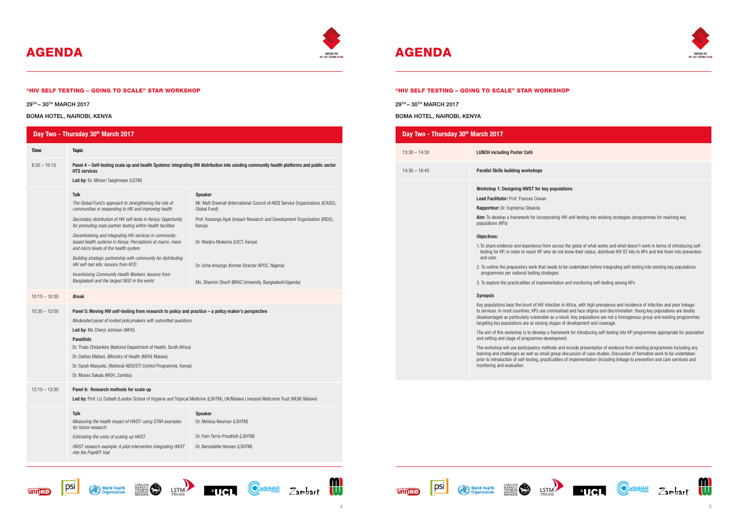"HIV SELF TESTING – GOING TO SCALE" STAR WORKSHOP



# AGENDA AGENDA AGENDA

29TH – 30TH MARCH 2017

BOMA HOTEL, NAIROBI, KENYA

psi

















#### $nullations$

ating HIV self-testing into existing strategies /programmes for reaching key

across the globe of what works and what doesn't work in terms of introducing selfdo not know their status, distribute HIV ST kits to KPs and link them into prevention

.<br>2. To be undertaken before integrating self-testing into existing key populations

1tation and monitoring self-testing among KPs

tion in Africa, with high prevalence and incidence of infection and poor linkage ninalised and face stigma and discrimination. Young key populations are doubly s a result. Key populations are not a homogenous group and existing programmes ages of development and coverage.

ramework for introducing self-testing into KP programmes appropriate for population lopment.

ds and include presentation of evidence from existing programmes including any roup discussion of case studies. Discussion of formative work to be undertaken alities of implementation (including linkage to prevention and care services) and









*HIVST research example: A pilot intervention integrating HIVST* 

*into the PopART trial*

| Day Two - Thursday 30th March 2017 |                                                                                                                                                                                                                                                                                                                                                                                                                                                                                           |                                                                                                                                                 |  |  |
|------------------------------------|-------------------------------------------------------------------------------------------------------------------------------------------------------------------------------------------------------------------------------------------------------------------------------------------------------------------------------------------------------------------------------------------------------------------------------------------------------------------------------------------|-------------------------------------------------------------------------------------------------------------------------------------------------|--|--|
| Time                               | <b>Topic</b>                                                                                                                                                                                                                                                                                                                                                                                                                                                                              |                                                                                                                                                 |  |  |
| $8:30 - 10:15$                     | Panel 4 – Self-testing scale up and health Systems: integrating HIV distribution into existing community health platforms and public sector<br><b>HTS services</b>                                                                                                                                                                                                                                                                                                                        |                                                                                                                                                 |  |  |
|                                    | Led by: Dr. Miriam Taegtmeyer (LSTM)                                                                                                                                                                                                                                                                                                                                                                                                                                                      |                                                                                                                                                 |  |  |
|                                    | Talk<br>The Global Fund's approach to strengthening the role of<br>communities in responding to HIV and improving health                                                                                                                                                                                                                                                                                                                                                                  | <b>Speaker</b><br>Mr. Matt Greenall (International Council of AIDS Service Organizations (ICASO),<br>Global Fund)                               |  |  |
|                                    | Secondary distribution of HIV self-tests in Kenya: Opportunity<br>for promoting male partner testing within health facilities                                                                                                                                                                                                                                                                                                                                                             | Prof. Kawango Agot (Impact Research and Development Organisation (IRDO),<br>Kenya)                                                              |  |  |
|                                    | Decentralising and integrating HIV services in community-<br>based health systems in Kenya: Perceptions at macro, meso<br>and micro levels of the health system<br>Building strategic partnership with community for distributing<br>HIV self-test kits: lessons from NTD<br>Incentivising Community Health Workers: lessons from<br>Bangladesh and the largest NGO in the world                                                                                                          | Dr. Wanjiru Mukoma (LVCT, Kenya)<br>Dr. Uche Amazigo (former Director APOC, Nigeria)<br>Ms. Sharmin Sharif (BRAC University, Bangladesh/Uganda) |  |  |
| $10:15 - 10:30$                    |                                                                                                                                                                                                                                                                                                                                                                                                                                                                                           |                                                                                                                                                 |  |  |
| $10:30 - 12:00$                    | <b>Break</b><br>Panel 5: Moving HIV self-testing from research to policy and practice $-$ a policy maker's perspective<br>Moderated panel of invited policymakers with submitted questions<br>Led by: Ms Cheryl Johnson (WHO)<br><b>Panellists</b><br>Dr. Thato Chidarikire (National Department of Health, South Africa)<br>Dr. Dalitso Midiani, (Ministry of Health (MOH) Malawi),<br>Dr. Sarah Masyuko, (National AIDS/STI Control Programme, Kenya)<br>Dr. Moses Sakala (MOH, Zambia) |                                                                                                                                                 |  |  |
| $12:15 - 13:30$                    | Panel 6: Research methods for scale up<br>Led by: Prof. Liz Corbett (London School of Hygiene and Tropical Medicine (LSHTM), UK/Malawi Liverpool Wellcome Trust (MLW) Malawi)                                                                                                                                                                                                                                                                                                             |                                                                                                                                                 |  |  |
|                                    | Talk<br>Measuring the health impact of HIVST: using STAR examples<br>for future research<br>Estimating the costs of scaling up HIVST                                                                                                                                                                                                                                                                                                                                                      | Speaker<br>Dr. Melissa Neuman (LSHTM)<br>Dr. Fern Terris-Prestholt (LSHTM)                                                                      |  |  |
|                                    | HIVST research example: A pilot intervention integrating HIVST                                                                                                                                                                                                                                                                                                                                                                                                                            | Dr. Bernadette Hensen (LSHTM)                                                                                                                   |  |  |





### "HIV SELF TESTING – GOING TO SCALE" STAR WORKSHOP

29TH – 30TH MARCH 2017

BOMA HOTEL, NAIROBI, KENYA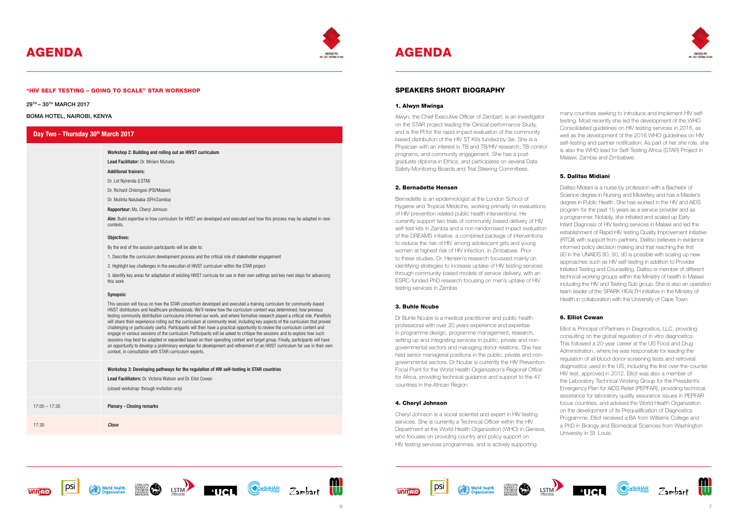



# AGENDA AGENDA AGENDA



#### "HIV SELF TESTING – GOING TO SCALE" STAR WORKSHOP

29TH – 30TH MARCH 2017

#### BOMA HOTEL, NAIROBI, KENYA

## Day Two - Thursday 30<sup>th</sup> March 2017

Workshop 2: Building and rolling out an HIVST curriculum

Lead Facilitator: Dr. Miriam Mutseta

#### Additional trainers:

Dr. Lot Nyirenda (LSTM)

Dr. Richard Chilongosi (PSI/Malawi)

Dr. Mutinta Nalubaba (SFH/Zambia)

Rapporteur: Ms. Cheryl Johnson

Aim: Build expertise in how curriculum for HIVST are developed and executed and how this process may be adapted in new contexts.

### Objectives:

By the end of the session participants will be able to:

1. Describe the curriculum development process and the critical role of stakeholder engagement

2. Highlight key challenges in the execution of HIVST curriculum within the STAR project

3. Identify key areas for adaptation of existing HIVST curricula for use in their own settings and key next steps for advancing this work

#### Synopsis:

Workshop 3: Developing pathways for the regulation of HIV self-testing in STAR countries Lead Facilitators: Dr. Victoria Watson and Dr. Eliot Cowan (closed workshop: through invitation only) 17:00 – 17:30 Plenary - Closing remarks 17:30 Close











This session will focus on how the STAR consortium developed and executed a training curriculum for community-based HIVST distributors and healthcare professionals. We'll review how the curriculum content was determined, how previous testing community distribution curriculums informed our work, and where formative research played a critical role. Panellists will share their experience rolling out the curriculum at community level, including key aspects of the curriculum that proved challenging or particularly useful. Participants will then have a practical opportunity to review the curriculum content and engage in various sessions of the curriculum. Participants will be asked to critique the sessions and to explore how such sessions may best be adapted or expanded based on their operating context and target group. Finally, participants will have an opportunity to develop a preliminary workplan for development and refinement of an HIVST curriculum for use in their own context, in consultation with STAR curriculum experts.

## SPEAKERS SHORT BIOGRAPHY

#### 1. Alwyn Mwinga

Alwyn, the Chief Executive Officer of Zambart, is an investigator on the STAR project leading the Clinical performance Study, and is the PI for the rapid impact evaluation of the community based distribution of the HIV ST Kits funded by 3ie. She is a Physician with an interest in TB and TB/HIV research, TB control programs, and community engagement. She has a postgraduate diploma in Ethics, and participates on several Data Safety Monitoring Boards and Trial Steering Committees.

#### 2. Bernadette Hensen

Bernadette is an epidemiologist at the London School of Hygiene and Tropical Medicine, working primarily on evaluations of HIV-prevention related public health interventions. He currently support two trials of community-based delivery of HIV self-test kits in Zambia and a non-randomised impact evaluation of the DREAMS initiative, a combined package of interventions to reduce the risk of HIV among adolescent girls and young women at highest risk of HIV infection, in Zimbabwe. Prior to these studies, Dr. Hensen's research focussed mainly on identifying strategies to increase uptake of HIV testing services through community-based models of service delivery, with an ESRC-funded PhD research focusing on men's uptake of HIV testing services in Zambia.

#### 3. Buhle Ncube

Dr Buhle Ncube is a medical practitioner and public health professional with over 20 years experience and expertise in programme design, programme management, research, setting up and integrating services in public, private and nongovernmental sectors and managing donor relations. She has held senior managerial positions in the public, private and nongovernmental sectors. Dr Ncube is currently the HIV Prevention Focal Point for the World Health Organization's Regional Office for Africa, providing technical guidance and support to the 47 countries in the African Region.

#### 4. Cheryl Johnson

Cheryl Johnson is a social scientist and expert in HIV testing services. She is currently a Technical Officer within the HIV Department at the World Health Organization (WHO) in Geneva, who focuses on providing country and policy support on HIV testing services programmes, and is actively supporting

World Health

many countries seeking to introduce and implement HIV selftesting. Most recently she led the development of the WHO Consolidated guidelines on HIV testing services in 2015, as well as the development of the 2016 WHO guidelines on HIV self-testing and partner notification. As part of her she role, she is also the WHO lead for Self-Testing Africa (STAR) Project in Malawi, Zambia and Zimbabwe.

# 5. Dalitso Midiani

Dalitso Midiani is a nurse by profession with a Bachelor of Science degree in Nursing and Midwifery and has a Master's degree in Public Health. She has worked in the HIV and AIDS program for the past 15 years as a service provider and as a programmer. Notably, she initiated and scaled up Early Infant Diagnosis of HIV testing services in Malawi and led the establishment of Rapid HIV testing Quality Improvement initiative (RTQII) with support from partners. Dalitso believes in evidence informed policy decision making and that reaching the first 90 in the UNAIDS 90, 90, 90 is possible with scaling up new approaches such as HIV self-testing in addition to Provider Initiated Testing and Counselling. Dalitso is member of different technical working groups within the Ministry of health in Malawi including the HIV and Testing Sub group. She is also an operation team leader of the SPARK HEALTH initiative in the Ministry of Health in collaboration with the University of Cape Town.

# 6. Elliot Cowan

Elliot is Principal of Partners in Diagnostics, LLC, providing consulting on the global regulation of in vitro diagnostics. This followed a 20-year career at the US Food and Drug Administration, where he was responsible for leading the regulation of all blood donor screening tests and retroviral diagnostics used in the US, including the first over-the-counter HIV test, approved in 2012. Elliot was also a member of the Laboratory Technical Working Group for the President's Emergency Plan for AIDS Relief (PEPFAR), providing technical assistance for laboratory quality assurance issues in PEPFAR focus countries, and advised the World Health Organization on the development of its Prequalification of Diagnostics Programme. Elliot received a BA from Williams College and a PhD in Biology and Biomedical Sciences from Washington University in St. Louis.







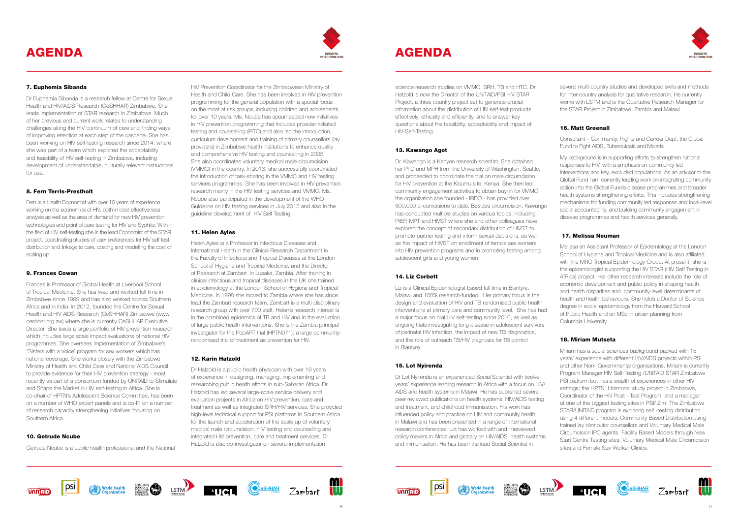



### 7. Euphemia Sibanda

Dr Euphemia Sibanda is a research fellow at Centre for Sexual Health and HIV/AIDS Research (CeSHHAR) Zimbabwe. She leads implementation of STAR research in Zimbabwe. Much of her previous and current work relates to understanding challenges along the HIV continuum of care and finding ways of improving retention at each step of the cascade. She has been working on HIV self-testing research since 2014, where she was part of a team which explored the acceptability and feasibility of HIV self-testing in Zimbabwe, including development of understandable, culturally relevant instructions for use.

#### 8. Fern Terris-Prestholt

Fern is a Health Economist with over 15 years of experience working on the economics of HIV, both in cost-effectiveness analysis as well as the area of demand for new HIV prevention technologies and point of care testing for HIV and Syphilis. Within the field of HIV self-testing she is the lead Economist of the STAR project, coordinating studies of user preferences for HIV self test distribution and linkage to care, costing and modelling the cost of scaling up.

#### 9. Frances Cowan

Frances is Professor of Global Health at Liverpool School of Tropical Medicine. She has lived and worked full time in Zimbabwe since 1999 and has also worked across Southern Africa and in India. In 2012, founded the Centre for Sexual Health and HIV AIDS Research (CeSHHAR) Zimbabwe (www. ceshhar.org.zw) where she is currently CeSHHAR Executive Director. She leads a large portfolio of HIV prevention research which includes large scale impact evaluations of national HIV programmes. She oversees implementation of Zimbabwe's "Sisters with a Voice' program for sex workers which has national coverage. She works closely with the Zimbabwe Ministry of Health and Child Care and National AIDS Council to provide evidence for their HIV prevention strategy - most recently as part of a consortium funded by UNITAID to Stimulate and Shape the Market in HIV self-testing in Africa. She is co-chair of HPTN's Adolescent Science Committee, has been on a number of WHO expert panels and is co-PI on a number of research capacity strengthening initiatives focusing on Southern Africa.

### 10. Getrude Ncube

Getrude Ncube is a public health professional and the National

HIV Prevention Coordinator for the Zimbabwean Ministry of Health and Child Care. She has been involved in HIV prevention programming for the general population with a special focus on the most at risk groups, including children and adolescents for over 10 years. Ms. Ncube has spearheaded new initiatives in HIV prevention programming that includes provider-initiated testing and counselling (PITC) and also led the introduction, curriculum development and training of primary counsellors (lay providers) in Zimbabwe health institutions to enhance quality and comprehensive HIV testing and counselling in 2005. She also coordinates voluntary medical male circumcision (VMMC) in the country. In 2013, she successfully coordinated the introduction of task-sharing in the VMMC and HIV testing services programmes. She has been involved in HIV prevention research mainly in the HIV testing services and VMMC. Ms. Ncube also participated in the development of the WHO Guideline on HIV testing services in July 2015 and also in the guideline development of HIV Self Testing.

### 11. Helen Ayles

Helen Ayles is a Professor in Infectious Diseases and International Health in the Clinical Research Department in the Faculty of Infectious and Tropical Diseases at the London School of Hygiene and Tropical Medicine, and the Director of Research at Zambart in Lusaka, Zambia. After training in clinical infectious and tropical diseases in the UK she trained in epidemiology at the London School of Hygiene and Tropical Medicine. In 1998 she moved to Zambia where she has since lead the Zambart research team. Zambart is a multi-disciplinary research group with over 700 staff. Helen's research interest is in the combined epidemics of TB and HIV and in the evaluation of large public health interventions. She is the Zambia principal investigator for the PopART trial (HPTN071), a large communityrandomised trial of treatment as prevention for HIV.

### 12. Karin Hatzold

Dr Hatzold is a public health physician with over 19 years of experience in designing, managing, implementing and researching public health efforts in sub-Saharan Africa. Dr Hatzold has led several large-scale service delivery and evaluation projects in Africa on HIV prevention, care and treatment as well as integrated SRH/HIV services. She provided high-level technical support for PSI platforms in Southern Africa for the launch and acceleration of the scale up of voluntary medical male circumcision, HIV testing and counselling and integrated HIV prevention, care and treatment services. Dr Hatzold is also co-investigator on several implementation

science research studies on VMMC, SRH, TB and HTC. Dr Hatzold is now the Director of the UNITAID/PSI HIV STAR Project, a three country project set to generate crucial information about the distribution of HIV self-test products effectively, ethically and efficiently, and to answer key questions about the feasibility, acceptability and impact of HIV-Self-Testing.

### 13. Kawango Agot

Dr. Kawango is a Kenyan research scientist. She obtained her PhD and MPH from the University of Washington, Seattle, and proceeded to coordinate the trial on male circumcision for HIV prevention at the Kisumu site, Kenya. She then led community engagement activities to obtain buy-in for VMMC; the organization she founded - IRDO - has provided over 600,000 circumcisions to date. Besides circumcision, Kawango has conducted multiple studies on various topics, including PrEP, MPT and HIVST where she and other colleagues have explored the concept of secondary distribution of HIVST to promote partner testing and inform sexual decisions, as well as the impact of HIVST on enrollment of female sex workers into HIV prevention programs and in promoting testing among adolescent girls and young women.

### 14. Liz Corbett

Liz is a Clinical Epidemiologist based full time in Blantyre, Malawi and 100% research-funded. Her primary focus is the design and evaluation of HIV and TB randomised public health interventions at primary care and community level. She has had a major focus on oral HIV self-testing since 2010, as well as ongoing trials investigating lung disease in adolescent survivors of perinatal HIV infection, the impact of new TB diagnostics, and the role of outreach TB/HIV diagnosis for TB control in Blantyre.

### 15. Lot Nyirenda

Dr Lot Nyirenda is an experienced Social Scientist with twelve years' experience leading research in Africa with a focus on HIV/ AIDS and health systems in Malawi. He has published several peer-reviewed publications on health systems, HIV/AIDS testing and treatment, and childhood immunisation. His work has influenced policy and practice on HIV and community health in Malawi and has been presented in a range of international research conferences. Lot has worked with and interviewed policy makers in Africa and globally on HIV/AIDS, health systems and immunisation. He has been the lead Social Scientist in











several multi-country studies and developed skills and methods for inter-country analysis for qualitative research. He currently works with LSTM and is the Qualitative Research Manager for the STAR Project in Zimbabwe, Zambia and Malawi.

# 16. Matt Greenall

Consultant – Community, Rights and Gender Dept, the Global Fund to Fight AIDS, Tuberculosis and Malaria

My background is in supporting efforts to strengthen national responses to HIV, with a emphasis on community led interventions and key, excluded populations. As an advisor to the Global Fund I am currently leading work on integrating community action into the Global Fund's disease programmes and broader health systems strengthening efforts. This includes strengthening mechanisms for funding community led responses and local-level social accountability, and building community engagement in disease programmes and health services generally.

## 17. Melissa Neuman

Melissa an Assistant Professor of Epidemiology at the London School of Hygiene and Tropical Medicine and is also affiliated with the MRC Tropical Epidemiology Group. At present, she is the epidemiologist supporting the HIV STAR (HIV Self Testing in AfRica) project. Her other research interests include the role of economic development and public policy in shaping health and health disparities and community-level determinants of health and health behaviours. She holds a Doctor of Science degree in social epidemiology from the Harvard School of Public Health and an MSc in urban planning from Columbia University.

## 18. Miriam Mutseta

Miriam has a social sciences background packed with 15 years' experience with different HIV/AIDS projects within PSI and other Non- Governmental organisations. Miriam is currently Program Manager HIV Self-Testing /UNITAID STAR Zimbabwe PSI platform but has a wealth of experiences in other HIV settings; the HPTN Hormonal study project in Zimbabwe, Coordinator of the HIV Post - Test Program, and a manager at one of the biggest testing sites in PSI/ Zim. The Zimbabwe STAR/UNITAID program is exploring self -testing distribution using 4 different models; Community Based Distribution using trained lay distributor counsellors and Voluntary Medical Male Circumcision IPC agents. Facility Based Models through New Start Centre Testing sites, Voluntary Medical Male Circumcision sites and Female Sex Worker Clinics.





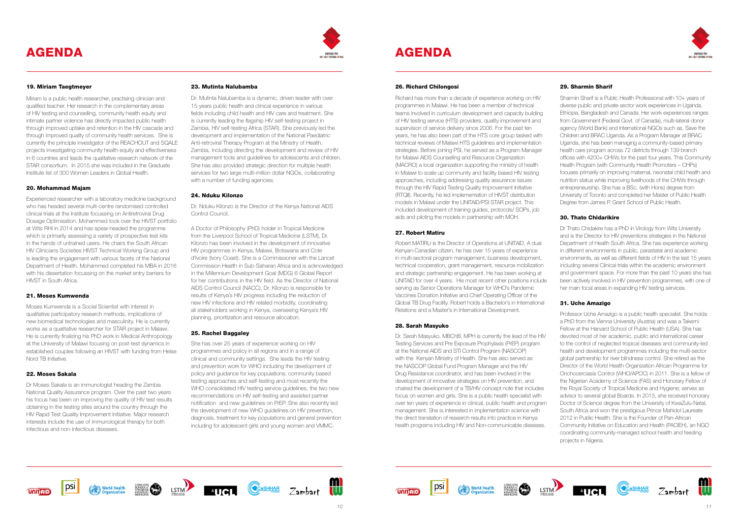



## 19. Miriam Taegtmeyer

Miriam is a public health researcher, practising clinician and qualified teacher. Her research in the complementary areas of HIV testing and counselling, community health equity and intimate partner violence has directly impacted public health through improved uptake and retention in the HIV cascade and through improved quality of community health services. She is currently the principle investigator of the REACHOUT and SQALE projects investigating community health equity and effectiveness in 6 countries and leads the qualitative research network of the STAR consortium. In 2015 she was included in the Graduate Institute list of 300 Women Leaders in Global Health.

### 20. Mohammad Majam

Experienced researcher with a laboratory medicine background who has headed several multi-centre randomised controlled clinical trials at the Institute focussing on Antiretroviral Drug Dosage Optimisation. Mohammed took over the HIVST portfolio at Wits RHI in 2014 and has spear-headed the programme which is primarily assessing a variety of prospective test kits in the hands of untrained users. He chairs the South African HIV Clinicians Societies HIVST Technical Working Group and is leading the engagement with various facets of the National Department of Health. Mohammed completed his MBA in 2016 with his dissertation focussing on the market entry barriers for HIVST in South Africa.

Dr. Mutinta Nalubamba is a dynamic, driven leader with over 15 years public health and clinical experience in various fields including child health and HIV care and treatment. She is currently leading the flagship HIV self-testing project in Zambia, HIV self-testing Africa (STAR). She previously led the development and implementation of the National Paediatric Anti-retroviral Therapy Program at the Ministry of Health, Zambia, including directing the development and review of HIV management tools and guidelines for adolescents and children. She has also provided strategic direction for multiple health services for two large multi-million dollar NGOs, collaborating with a number of funding agencies.

### 21. Moses Kumwenda

Moses Kumwenda is a Social Scientist with interest in qualitative participatory research methods, implications of new biomedical technologies and masculinity. He is currently works as a qualitative researcher for STAR project in Malawi. He is currently finalizing his PhD work in Medical Anthropology at the University of Malawi focusing on post-test dynamics in established couples following an HIVST with funding from Helse Nord TB Initiative.

### 22. Moses Sakala

Dr Moses Sakala is an immunologist heading the Zambia National Quality Assurance program. Over the past two years his focus has been on improving the quality of HIV test results obtaining in the testing sites around the country through the HIV Rapid Test Quality Improvement Initiative. Major research interests include the use of immunological therapy for both infectious and non-infectious diseases.

#### 23. Mutinta Nalubamba

### 24. Nduku Kilonzo

Dr. Nduku Kilonzo is the Director of the Kenya National AIDS Control Council.

A Doctor of Philosophy (PhD) holder in Tropical Medicine from the Liverpool School of Tropical Medicine (LSTM), Dr. Kilonzo has been involved in the development of innovative HIV programmes in Kenya, Malawi, Botswana and Cote d'Ivoire (Ivory Coast). She is a Commissioner with the Lancet Commission Health in Sub-Saharan Africa and is acknowledged in the Millennium Development Goal (MDG) 6 Global Report for her contributions in the HIV field. As the Director of National AIDS Control Council (NACC), Dr. Kilonzo is responsible for results of Kenya's HIV progress including the reduction of new HIV infections and HIV related morbidity, coordinating all stakeholders working in Kenya, overseeing Kenya's HIV planning, prioritization and resource allocation.

### 25. Rachel Baggaley

Sharmin Sharif is a Public Health Professional with 10+ years of diverse public and private sector work experiences in Uganda, Ethiopia, Bangladesh and Canada. Her work experiences ranges from Government (Federal Govt. of Canada), multi-lateral donor agency (World Bank) and International NGOs such as, Save the Children and BRAC Uganda. As a Program Manager at BRAC Uganda, she has been managing a community-based primary health care program across 72 districts through 139 branch offices with 4200+ CHWs for the past four years. This Community Health Program (with Community Health Promoters – CHPs) focuses primarily on improving maternal, neonatal child health and nutrition status while improving livelihoods of the CHWs through entrepreneurship. She has a BSc. (with Hons) degree from University of Toronto and completed her Master of Public Health Degree from James P. Grant School of Public Health.

She has over 25 years of experience working on HIV programmes and policy in all regions and in a range of clinical and community settings. She leads the HIV testing and prevention work for WHO including the development of policy and guidance for key populations, community based testing approaches and self-testing and most recently the WHO consolidated HIV testing service guidelines, the two new recommendations on HIV self-testing and assisted partner notification and new guidelines on PrEP. She also recently led the development of new WHO guidelines on HIV prevention, diagnosis, treatment for key populations and general prevention including for adolescent girls and young women and VMMC.

### 26. Richard Chilongosi

Richard has more than a decade of experience working on HIV programmes in Malawi. He has been a member of technical teams involved in curriculum development and capacity building of HIV testing service (HTS) providers, quality improvement and supervision of service delivery since 2006. For the past ten years, he has also been part of the HTS core group tasked with technical reviews of Malawi HTS guidelines and implementation strategies. Before joining PSI, he served as a Program Manager for Malawi AIDS Counselling and Resource Organization (MACRO) a local organization supporting the ministry of health in Malawi to scale up community and facility based HIV testing approaches, including addressing quality assurance issues through the HIV Rapid Testing Quality Improvement Initiative (RTQII). Recently, he led implementation of HIVST distribution models in Malawi under the UNITAID/PSI STAR project. This included development of training guides, protocols/ SOPs, job aids and piloting the models in partnership with MOH.

### 27. Robert Matiru

Robert MATIRU is the Director of Operations at UNITAID. A dual Kenyan-Canadian citizen, he has over 15 years of experience in multi-sectoral program management, business development, technical cooperation, grant management, resource mobilization and strategic partnership engagement. He has been working at UNITAID for over 4 years. His most recent other positions include serving as Senior Operations Manager for WHO's Pandemic Vaccines Donation Initiative and Chief Operating Officer of the Global TB Drug Facility. Robert holds a Bachelor's in International Relations and a Master's in International Development.

## 28. Sarah Masyuko

Dr. Sarah Masyuko, MBChB, MPH is currently the lead of the HIV Testing Services and Pre Exposure Prophylaxis (PrEP) program at the National AIDS and STI Control Program (NASCOP) with the Kenyan Ministry of Health. She has also served as the NASCOP Global Fund Program Manager and the HIV Drug Resistance coordinator, and has been involved in the development of innovative strategies on HIV prevention, and chaired the development of a TB/HIV concept note that includes focus on women and girls. She is a public health specialist with over ten years of experience in clinical, public health and program management. She is interested in implementation science with the direct translation of research results into practice in Kenya health programs including HIV and Non-communicable diseases.











# 29. Sharmin Sharif

# 30. Thato Chidarikire

Dr Thato Chidakire has a PhD in Virology from Wits University and is the Director for HIV preventions strategies in the National Department of Health South Africa. She has experience working in different environments in public, parastatal and academic environments, as well as different fields of HIV in the last 15 years including several Clinical trials within the academic environment and government space. For more than the past 10 years she has been actively involved in HIV prevention programmes, with one of her main focal areas in expanding HIV testing services.

# 31. Uche Amazigo

Professor Uche Amazigo is a public health specialist. She holds a PhD from the Vienna University (Austria) and was a Takemi Fellow at the Harvard School of Public Health (USA). She has devoted most of her academic, public and international career to the control of neglected tropical diseases and community-led health and development programmes including the multi-sector global partnership for river blindness control. She retired as the Director of the World Health Organization African Programme for Onchocerciasis Control (WHO/APOC) in 2011. She is a fellow of the Nigerian Academy of Science (FAS) and Honorary Fellow of the Royal Society of Tropical Medicine and Hygiene; serves as advisor to several global Boards. In 2013, she received honorary Doctor of Science degree from the University of KwaZulu-Natal, South Africa and won the prestigious Prince Mahidol Laureate 2012 in Public Health. She is the Founder of Pan-African Community Initiative on Education and Health (PACIEH), an NGO coordinating community-managed school health and feeding projects in Nigeria.





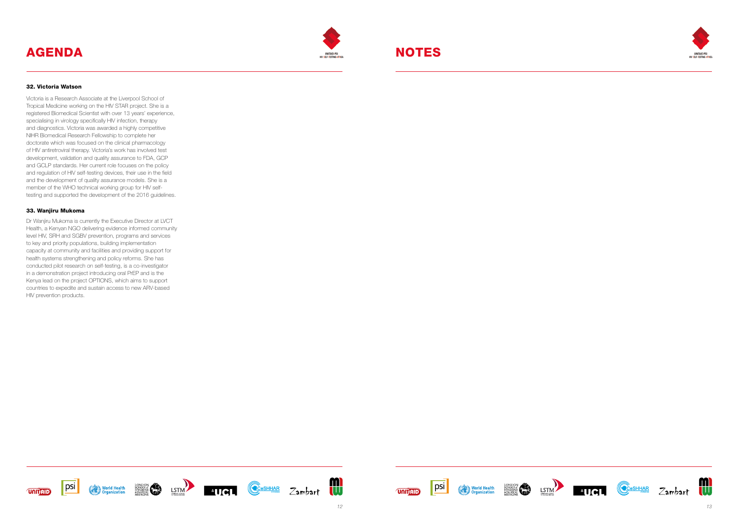# AGENDA











### 32. Victoria Watson

Victoria is a Research Associate at the Liverpool School of Tropical Medicine working on the HIV STAR project. She is a registered Biomedical Scientist with over 13 years' experience, specialising in virology specifically HIV infection, therapy and diagnostics. Victoria was awarded a highly competitive NIHR Biomedical Research Fellowship to complete her doctorate which was focused on the clinical pharmacology of HIV antiretroviral therapy. Victoria's work has involved test development, validation and quality assurance to FDA, GCP and GCLP standards. Her current role focuses on the policy and regulation of HIV self-testing devices, their use in the field and the development of quality assurance models. She is a member of the WHO technical working group for HIV selftesting and supported the development of the 2016 guidelines.

### 33. Wanjiru Mukoma

Dr Wanjiru Mukoma is currently the Executive Director at LVCT Health, a Kenyan NGO delivering evidence informed community level HIV, SRH and SGBV prevention, programs and services to key and priority populations, building implementation capacity at community and facilities and providing support for health systems strengthening and policy reforms. She has conducted pilot research on self-testing, is a co-investigator in a demonstration project introducing oral PrEP and is the Kenya lead on the project OPTIONS, which aims to support countries to expedite and sustain access to new ARV-based HIV prevention products.









# NOTES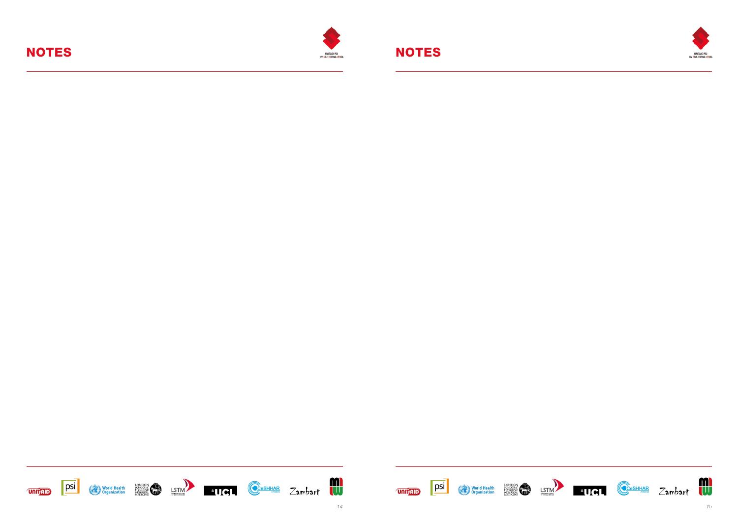# NOTES